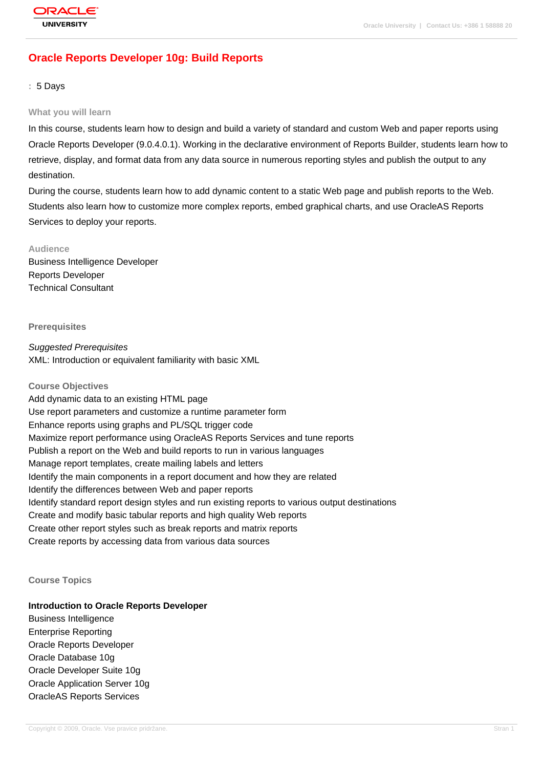# **[Oracle Reports](http://education.oracle.com/pls/web_prod-plq-dad/db_pages.getpage?page_id=3) Developer 10g: Build Reports**

**:** 5 Days

#### **What you will learn**

In this course, students learn how to design and build a variety of standard and custom Web and paper reports using Oracle Reports Developer (9.0.4.0.1). Working in the declarative environment of Reports Builder, students learn how to retrieve, display, and format data from any data source in numerous reporting styles and publish the output to any destination.

During the course, students learn how to add dynamic content to a static Web page and publish reports to the Web. Students also learn how to customize more complex reports, embed graphical charts, and use OracleAS Reports Services to deploy your reports.

#### **Audience**

Business Intelligence Developer Reports Developer Technical Consultant

**Prerequisites**

Suggested Prerequisites XML: Introduction or equivalent familiarity with basic XML

# **Course Objectives** Add dynamic data to an existing HTML page Use report parameters and customize a runtime parameter form Enhance reports using graphs and PL/SQL trigger code Maximize report performance using OracleAS Reports Services and tune reports Publish a report on the Web and build reports to run in various languages Manage report templates, create mailing labels and letters Identify the main components in a report document and how they are related Identify the differences between Web and paper reports Identify standard report design styles and run existing reports to various output destinations Create and modify basic tabular reports and high quality Web reports Create other report styles such as break reports and matrix reports Create reports by accessing data from various data sources

#### **Course Topics**

# **Introduction to Oracle Reports Developer**

Business Intelligence Enterprise Reporting Oracle Reports Developer Oracle Database 10g Oracle Developer Suite 10g Oracle Application Server 10g OracleAS Reports Services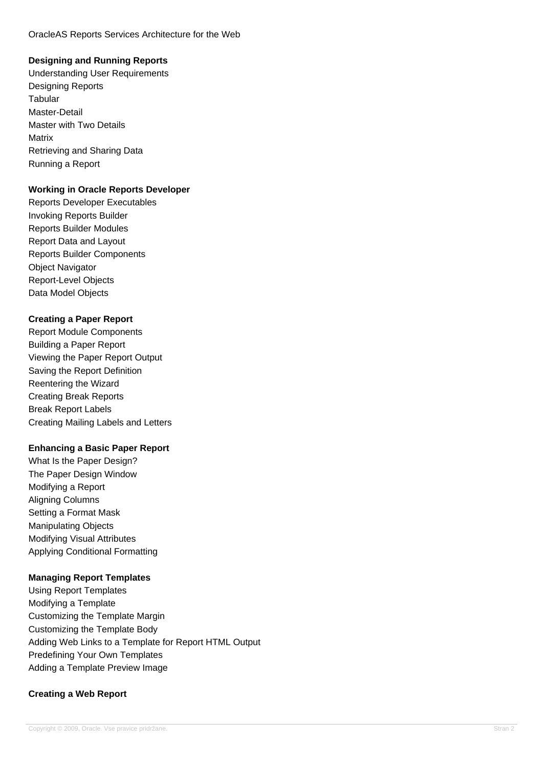#### OracleAS Reports Services Architecture for the Web

# **Designing and Running Reports**

Understanding User Requirements Designing Reports **Tabular** Master-Detail Master with Two Details Matrix Retrieving and Sharing Data Running a Report

# **Working in Oracle Reports Developer**

Reports Developer Executables Invoking Reports Builder Reports Builder Modules Report Data and Layout Reports Builder Components Object Navigator Report-Level Objects Data Model Objects

# **Creating a Paper Report**

Report Module Components Building a Paper Report Viewing the Paper Report Output Saving the Report Definition Reentering the Wizard Creating Break Reports Break Report Labels Creating Mailing Labels and Letters

### **Enhancing a Basic Paper Report**

What Is the Paper Design? The Paper Design Window Modifying a Report Aligning Columns Setting a Format Mask Manipulating Objects Modifying Visual Attributes Applying Conditional Formatting

### **Managing Report Templates**

Using Report Templates Modifying a Template Customizing the Template Margin Customizing the Template Body Adding Web Links to a Template for Report HTML Output Predefining Your Own Templates Adding a Template Preview Image

# **Creating a Web Report**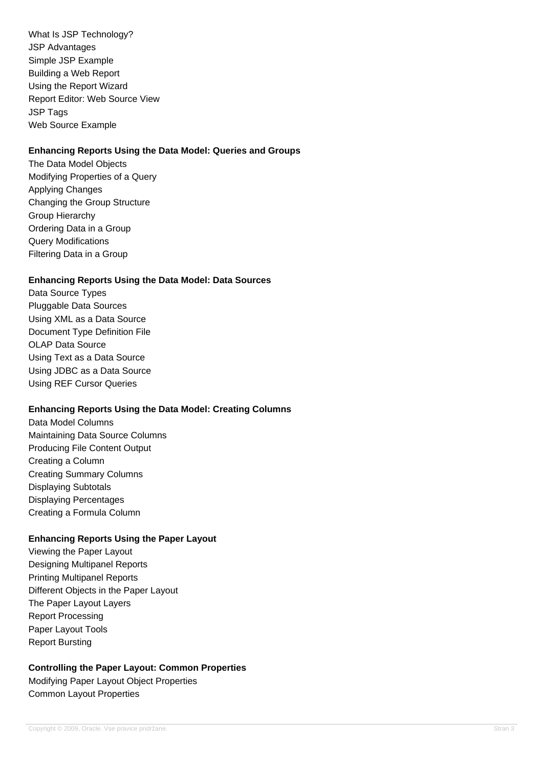What Is JSP Technology? JSP Advantages Simple JSP Example Building a Web Report Using the Report Wizard Report Editor: Web Source View JSP Tags Web Source Example

# **Enhancing Reports Using the Data Model: Queries and Groups**

The Data Model Objects Modifying Properties of a Query Applying Changes Changing the Group Structure Group Hierarchy Ordering Data in a Group Query Modifications Filtering Data in a Group

# **Enhancing Reports Using the Data Model: Data Sources**

Data Source Types Pluggable Data Sources Using XML as a Data Source Document Type Definition File OLAP Data Source Using Text as a Data Source Using JDBC as a Data Source Using REF Cursor Queries

### **Enhancing Reports Using the Data Model: Creating Columns**

Data Model Columns Maintaining Data Source Columns Producing File Content Output Creating a Column Creating Summary Columns Displaying Subtotals Displaying Percentages Creating a Formula Column

# **Enhancing Reports Using the Paper Layout**

Viewing the Paper Layout Designing Multipanel Reports Printing Multipanel Reports Different Objects in the Paper Layout The Paper Layout Layers Report Processing Paper Layout Tools Report Bursting

### **Controlling the Paper Layout: Common Properties**

Modifying Paper Layout Object Properties Common Layout Properties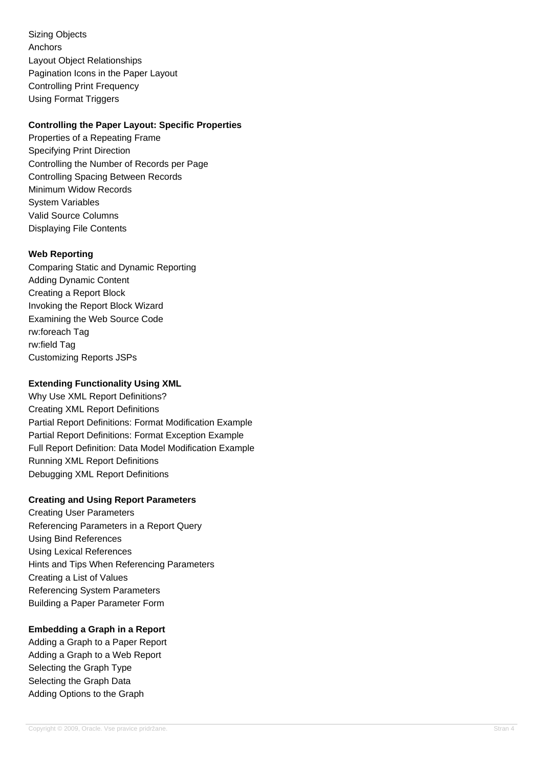Sizing Objects Anchors Layout Object Relationships Pagination Icons in the Paper Layout Controlling Print Frequency Using Format Triggers

# **Controlling the Paper Layout: Specific Properties**

Properties of a Repeating Frame Specifying Print Direction Controlling the Number of Records per Page Controlling Spacing Between Records Minimum Widow Records System Variables Valid Source Columns Displaying File Contents

# **Web Reporting**

Comparing Static and Dynamic Reporting Adding Dynamic Content Creating a Report Block Invoking the Report Block Wizard Examining the Web Source Code rw:foreach Tag rw:field Tag Customizing Reports JSPs

## **Extending Functionality Using XML**

Why Use XML Report Definitions? Creating XML Report Definitions Partial Report Definitions: Format Modification Example Partial Report Definitions: Format Exception Example Full Report Definition: Data Model Modification Example Running XML Report Definitions Debugging XML Report Definitions

### **Creating and Using Report Parameters**

Creating User Parameters Referencing Parameters in a Report Query Using Bind References Using Lexical References Hints and Tips When Referencing Parameters Creating a List of Values Referencing System Parameters Building a Paper Parameter Form

# **Embedding a Graph in a Report**

Adding a Graph to a Paper Report Adding a Graph to a Web Report Selecting the Graph Type Selecting the Graph Data Adding Options to the Graph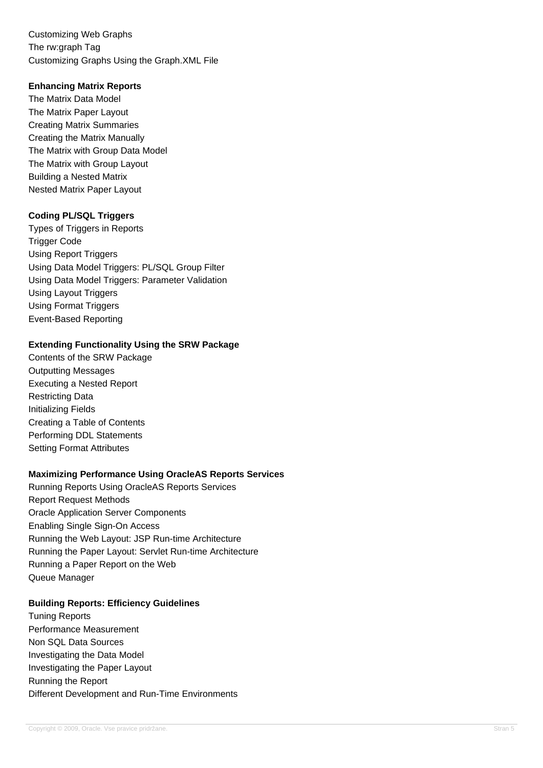Customizing Web Graphs The rw:graph Tag Customizing Graphs Using the Graph.XML File

### **Enhancing Matrix Reports**

The Matrix Data Model The Matrix Paper Layout Creating Matrix Summaries Creating the Matrix Manually The Matrix with Group Data Model The Matrix with Group Layout Building a Nested Matrix Nested Matrix Paper Layout

## **Coding PL/SQL Triggers**

Types of Triggers in Reports Trigger Code Using Report Triggers Using Data Model Triggers: PL/SQL Group Filter Using Data Model Triggers: Parameter Validation Using Layout Triggers Using Format Triggers Event-Based Reporting

### **Extending Functionality Using the SRW Package**

Contents of the SRW Package Outputting Messages Executing a Nested Report Restricting Data Initializing Fields Creating a Table of Contents Performing DDL Statements Setting Format Attributes

# **Maximizing Performance Using OracleAS Reports Services**

Running Reports Using OracleAS Reports Services Report Request Methods Oracle Application Server Components Enabling Single Sign-On Access Running the Web Layout: JSP Run-time Architecture Running the Paper Layout: Servlet Run-time Architecture Running a Paper Report on the Web Queue Manager

### **Building Reports: Efficiency Guidelines**

Tuning Reports Performance Measurement Non SQL Data Sources Investigating the Data Model Investigating the Paper Layout Running the Report Different Development and Run-Time Environments